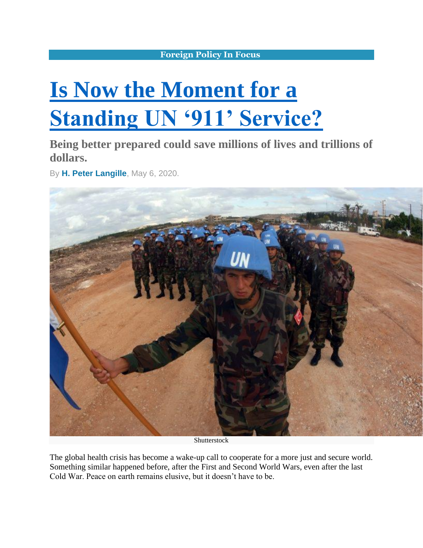## **[Foreign Policy In Focus](https://fpif.org/)**

## **[Is Now the Moment for a](https://fpif.org/is-now-the-moment-for-a-standing-un-911-service/)  [Standing UN '911' Service?](https://fpif.org/is-now-the-moment-for-a-standing-un-911-service/)**

**Being better prepared could save millions of lives and trillions of dollars.**

By **[H. Peter Langille](https://fpif.org/authors/h-peter-langille/)**, May 6, 2020.



Shutterstock

The global health crisis has become a wake-up call to cooperate for a more just and secure world. Something similar happened before, after the First and Second World Wars, even after the last Cold War. Peace on earth remains elusive, but it doesn't have to be.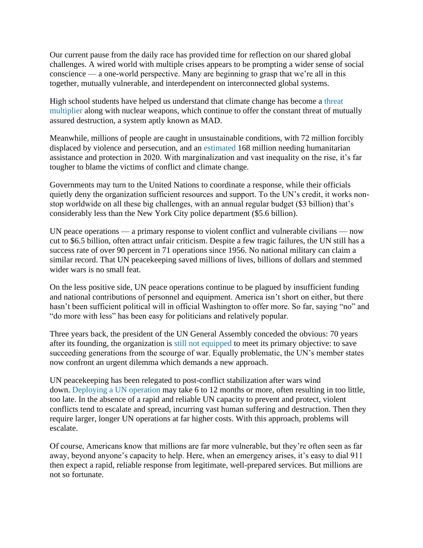Our current pause from the daily race has provided time for reflection on our shared global challenges. A wired world with multiple crises appears to be prompting a wider sense of social conscience — a one-world perspective. Many are beginning to grasp that we're all in this together, mutually vulnerable, and interdependent on interconnected global systems.

High school students have helped us understand that climate change has become a [threat](https://www.cbc.ca/radio/day6/episode-411-what-happened-to-jamal-khashoggi-weed-hypocrisy-climate-and-conflict-misused-words-and-more-1.4858795/how-climate-change-is-fueling-conflict-around-the-world-1.4858826)  [multiplier](https://www.cbc.ca/radio/day6/episode-411-what-happened-to-jamal-khashoggi-weed-hypocrisy-climate-and-conflict-misused-words-and-more-1.4858795/how-climate-change-is-fueling-conflict-around-the-world-1.4858826) along with nuclear weapons, which continue to offer the constant threat of mutually assured destruction, a system aptly known as MAD.

Meanwhile, millions of people are caught in unsustainable conditions, with 72 million forcibly displaced by violence and persecution, and an [estimated](https://www.unocha.org/sites/unocha/files/GHO-2020_v8.7%2006122019%202pm.pdf) 168 million needing humanitarian assistance and protection in 2020. With marginalization and vast inequality on the rise, it's far tougher to blame the victims of conflict and climate change.

Governments may turn to the United Nations to coordinate a response, while their officials quietly deny the organization sufficient resources and support. To the UN's credit, it works nonstop worldwide on all these big challenges, with an annual regular budget (\$3 billion) that's considerably less than the New York City police department (\$5.6 billion).

UN peace operations — a primary response to violent conflict and vulnerable civilians — now cut to \$6.5 billion, often attract unfair criticism. Despite a few tragic failures, the UN still has a success rate of over 90 percent in 71 operations since 1956. No national military can claim a similar record. That UN peacekeeping saved millions of lives, billions of dollars and stemmed wider wars is no small feat.

On the less positive side, UN peace operations continue to be plagued by insufficient funding and national contributions of personnel and equipment. America isn't short on either, but there hasn't been sufficient political will in official Washington to offer more. So far, saying "no" and "do more with less" has been easy for politicians and relatively popular.

Three years back, the president of the UN General Assembly conceded the obvious: 70 years after its founding, the organization is [still not equipped](https://www.un.org/pga/70/2016/05/10/press-release-un-must-become-more-relevant-more-credible-more-legitimate-and-more-capable-un-president-tells-high-level-thematic-debate-on-peace-and-security/) to meet its primary objective: to save succeeding generations from the scourge of war. Equally problematic, the UN's member states now confront an urgent dilemma which demands a new approach.

UN peacekeeping has been relegated to post-conflict stabilization after wars wind down. [Deploying a UN operation](https://www.ipinst.org/wp-content/uploads/publications/ipi_e_pub_improving_un_rapid_deployment.pdf) may take 6 to 12 months or more, often resulting in too little, too late. In the absence of a rapid and reliable UN capacity to prevent and protect, violent conflicts tend to escalate and spread, incurring vast human suffering and destruction. Then they require larger, longer UN operations at far higher costs. With this approach, problems will escalate.

Of course, Americans know that millions are far more vulnerable, but they're often seen as far away, beyond anyone's capacity to help. Here, when an emergency arises, it's easy to dial 911 then expect a rapid, reliable response from legitimate, well-prepared services. But millions are not so fortunate.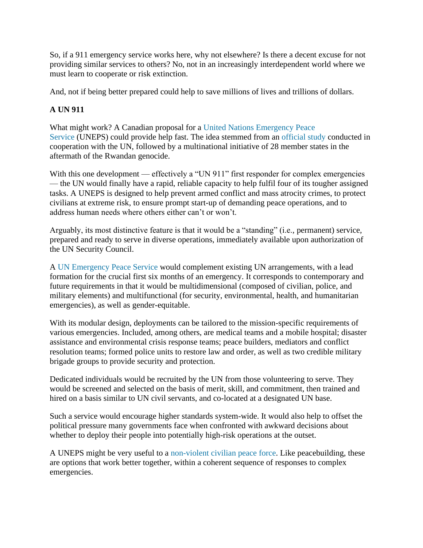So, if a 911 emergency service works here, why not elsewhere? Is there a decent excuse for not providing similar services to others? No, not in an increasingly interdependent world where we must learn to cooperate or risk extinction.

And, not if being better prepared could help to save millions of lives and trillions of dollars.

## **A UN 911**

What might work? A Canadian proposal for a [United Nations Emergency Peace](https://www.opendemocracy.net/en/united-nations-emergency-peace-service-one-step-toward-operational-prevention-and-p/)  [Service](https://www.opendemocracy.net/en/united-nations-emergency-peace-service-one-step-toward-operational-prevention-and-p/) (UNEPS) could provide help fast. The idea stemmed from an [official study](https://f27.ba6.myftpupload.com/wp-content/uploads/2019/11/RR_eng.pdf) conducted in cooperation with the UN, followed by a multinational initiative of 28 member states in the aftermath of the Rwandan genocide.

With this one development — effectively a "UN 911" first responder for complex emergencies — the UN would finally have a rapid, reliable capacity to help fulfil four of its tougher assigned tasks. A UNEPS is designed to help prevent armed conflict and mass atrocity crimes, to protect civilians at extreme risk, to ensure prompt start-up of demanding peace operations, and to address human needs where others either can't or won't.

Arguably, its most distinctive feature is that it would be a "standing" (i.e., permanent) service, prepared and ready to serve in diverse operations, immediately available upon authorization of the UN Security Council.

A [UN Emergency Peace Service](https://tosavetheworld.ca/04-uneps/) would complement existing UN arrangements, with a lead formation for the crucial first six months of an emergency. It corresponds to contemporary and future requirements in that it would be multidimensional (composed of civilian, police, and military elements) and multifunctional (for security, environmental, health, and humanitarian emergencies), as well as gender-equitable.

With its modular design, deployments can be tailored to the mission-specific requirements of various emergencies. Included, among others, are medical teams and a mobile hospital; disaster assistance and environmental crisis response teams; peace builders, mediators and conflict resolution teams; formed police units to restore law and order, as well as two credible military brigade groups to provide security and protection.

Dedicated individuals would be recruited by the UN from those volunteering to serve. They would be screened and selected on the basis of merit, skill, and commitment, then trained and hired on a basis similar to UN civil servants, and co-located at a designated UN base.

Such a service would encourage higher standards system-wide. It would also help to offset the political pressure many governments face when confronted with awkward decisions about whether to deploy their people into potentially high-risk operations at the outset.

A UNEPS might be very useful to a [non-violent civilian peace force.](https://www.nonviolentpeaceforce.org/unarmed-civilian-protection?gclid=Cj0KCQjwsYb0BRCOARIsAHbLPhGJbnbh693bICiDtaRwSA-72tGkFVs91R5_xY4_AjSn9P3QxOgWjawaAmt9EALw_wcB) Like peacebuilding, these are options that work better together, within a coherent sequence of responses to complex emergencies.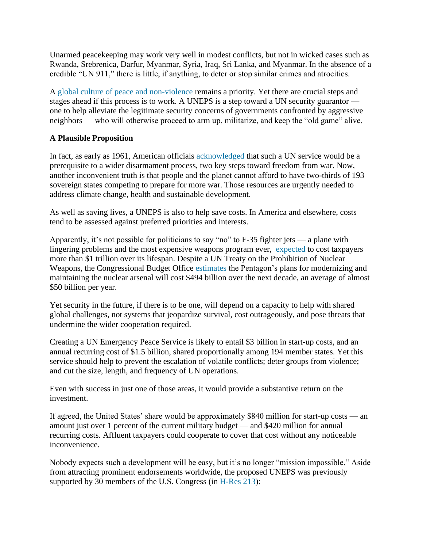Unarmed peacekeeping may work very well in modest conflicts, but not in wicked cases such as Rwanda, Srebrenica, Darfur, Myanmar, Syria, Iraq, Sri Lanka, and Myanmar. In the absence of a credible "UN 911," there is little, if anything, to deter or stop similar crimes and atrocities.

A [global culture of peace and non-violence](https://en.unesco.org/partnerships/partnering/promoting-culture-peace-and-non-violence) remains a priority. Yet there are crucial steps and stages ahead if this process is to work. A UNEPS is a step toward a UN security guarantor one to help alleviate the legitimate security concerns of governments confronted by aggressive neighbors — who will otherwise proceed to arm up, militarize, and keep the "old game" alive.

## **A Plausible Proposition**

In fact, as early as 1961, American officials [acknowledged](https://famguardian.org/Subjects/GunControl/Law/freedom-from-war-state-dept-pub-7277.pdf) that such a UN service would be a prerequisite to a wider disarmament process, two key steps toward freedom from war. Now, another inconvenient truth is that people and the planet cannot afford to have two-thirds of 193 sovereign states competing to prepare for more war. Those resources are urgently needed to address climate change, health and sustainable development.

As well as saving lives, a UNEPS is also to help save costs. In America and elsewhere, costs tend to be assessed against preferred priorities and interests.

Apparently, it's not possible for politicians to say "no" to F-35 fighter jets — a plane with lingering problems and the most expensive weapons program ever, [expected](https://www.nytimes.com/2019/08/21/magazine/f35-joint-strike-fighter-program.html) to cost taxpayers more than \$1 trillion over its lifespan. Despite a UN Treaty on the Prohibition of Nuclear Weapons, the Congressional Budget Office [estimates](https://www.defensenews.com/space/2019/01/24/heres-how-many-billions-the-us-will-spend-on-nuclear-weapons-over-the-next-decade/) the Pentagon's plans for modernizing and maintaining the nuclear arsenal will cost \$494 billion over the next decade, an average of almost \$50 billion per year.

Yet security in the future, if there is to be one, will depend on a capacity to help with shared global challenges, not systems that jeopardize survival, cost outrageously, and pose threats that undermine the wider cooperation required.

Creating a UN Emergency Peace Service is likely to entail \$3 billion in start-up costs, and an annual recurring cost of \$1.5 billion, shared proportionally among 194 member states. Yet this service should help to prevent the escalation of volatile conflicts; deter groups from violence; and cut the size, length, and frequency of UN operations.

Even with success in just one of those areas, it would provide a substantive return on the investment.

If agreed, the United States' share would be approximately \$840 million for start-up costs — an amount just over 1 percent of the current military budget — and \$420 million for annual recurring costs. Affluent taxpayers could cooperate to cover that cost without any noticeable inconvenience.

Nobody expects such a development will be easy, but it's no longer "mission impossible." Aside from attracting prominent endorsements worldwide, the proposed UNEPS was previously supported by 30 members of the U.S. Congress (in [H-Res 213\)](https://www.congress.gov/bill/110th-congress/house-resolution/213):